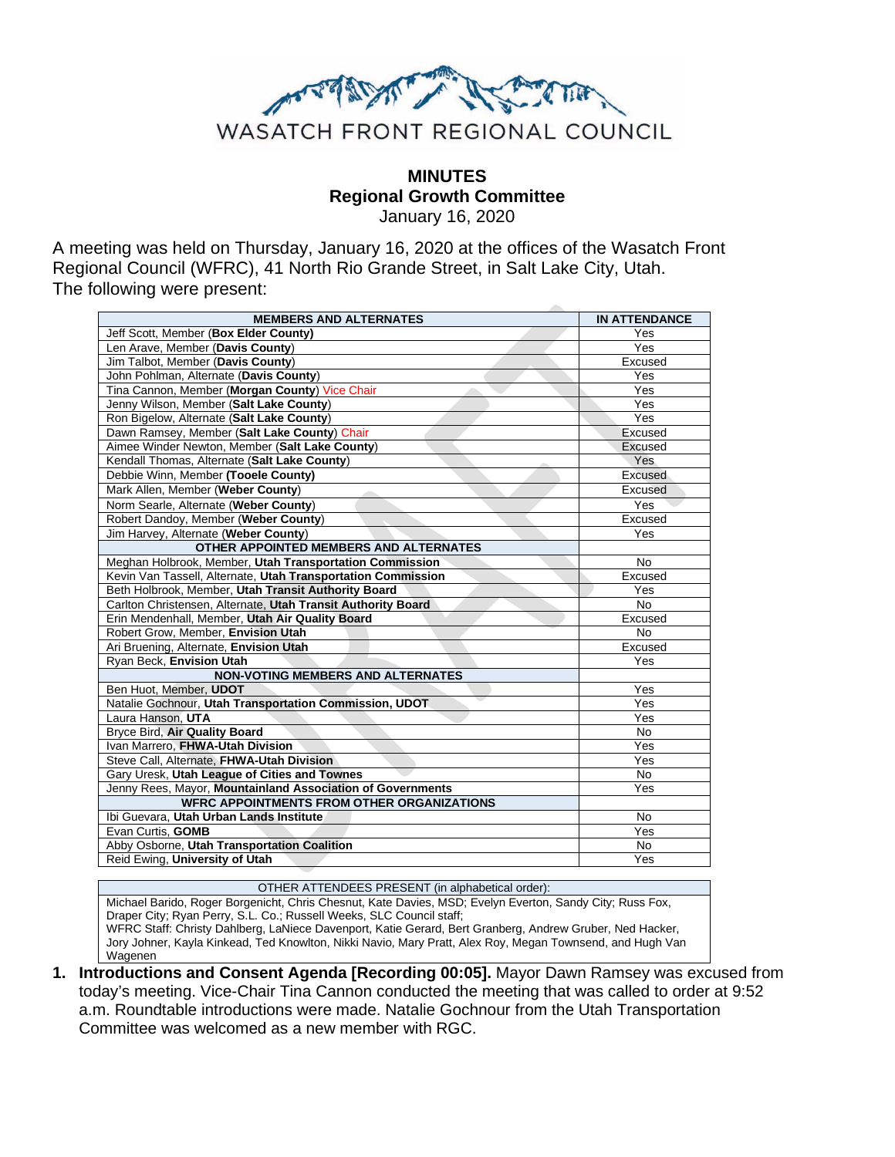

**MINUTES Regional Growth Committee**

January 16, 2020

A meeting was held on Thursday, January 16, 2020 at the offices of the Wasatch Front Regional Council (WFRC), 41 North Rio Grande Street, in Salt Lake City, Utah. The following were present:

| <b>MEMBERS AND ALTERNATES</b>                                | <b>IN ATTENDANCE</b> |
|--------------------------------------------------------------|----------------------|
| Jeff Scott, Member (Box Elder County)                        | Yes                  |
| Len Arave, Member (Davis County)                             | Yes                  |
| Jim Talbot, Member (Davis County)                            | Excused              |
| John Pohlman, Alternate (Davis County)                       | Yes                  |
| Tina Cannon, Member (Morgan County) Vice Chair               | Yes                  |
| Jenny Wilson, Member (Salt Lake County)                      | Yes                  |
| Ron Bigelow, Alternate (Salt Lake County)                    | Yes                  |
| Dawn Ramsey, Member (Salt Lake County) Chair                 | Excused              |
| Aimee Winder Newton, Member (Salt Lake County)               | Excused              |
| Kendall Thomas, Alternate (Salt Lake County)                 | Yes                  |
| Debbie Winn, Member (Tooele County)                          | Excused              |
| Mark Allen, Member (Weber County)                            | Excused              |
| Norm Searle. Alternate (Weber County)                        | Yes                  |
| Robert Dandoy, Member (Weber County)                         | Excused              |
| Jim Harvey, Alternate (Weber County)                         | Yes                  |
| OTHER APPOINTED MEMBERS AND ALTERNATES                       |                      |
| Meghan Holbrook, Member, Utah Transportation Commission      | <b>No</b>            |
| Kevin Van Tassell, Alternate, Utah Transportation Commission | Excused              |
| Beth Holbrook, Member, Utah Transit Authority Board          | Yes                  |
| Carlton Christensen, Alternate, Utah Transit Authority Board | <b>No</b>            |
| Erin Mendenhall, Member, Utah Air Quality Board              | Excused              |
| Robert Grow. Member. Envision Utah                           | <b>No</b>            |
| Ari Bruening, Alternate, Envision Utah                       | Excused              |
| Ryan Beck, Envision Utah                                     | Yes                  |
| <b>NON-VOTING MEMBERS AND ALTERNATES</b>                     |                      |
| Ben Huot, Member, UDOT                                       | Yes                  |
| Natalie Gochnour, Utah Transportation Commission, UDOT       | Yes                  |
| Laura Hanson, UTA                                            | Yes                  |
| Bryce Bird, Air Quality Board                                | <b>No</b>            |
| Ivan Marrero. FHWA-Utah Division                             | Yes                  |
| Steve Call, Alternate, FHWA-Utah Division                    | Yes                  |
| Gary Uresk, Utah League of Cities and Townes                 | No                   |
| Jenny Rees, Mayor, Mountainland Association of Governments   | Yes                  |
| <b>WFRC APPOINTMENTS FROM OTHER ORGANIZATIONS</b>            |                      |
| Ibi Guevara, Utah Urban Lands Institute                      | <b>No</b>            |
| Evan Curtis, GOMB                                            | Yes                  |
| Abby Osborne, Utah Transportation Coalition                  | <b>No</b>            |
| Reid Ewing, University of Utah                               | Yes                  |

OTHER ATTENDEES PRESENT (in alphabetical order): Michael Barido, Roger Borgenicht, Chris Chesnut, Kate Davies, MSD; Evelyn Everton, Sandy City; Russ Fox, Draper City; Ryan Perry, S.L. Co.; Russell Weeks, SLC Council staff; WFRC Staff: Christy Dahlberg, LaNiece Davenport, Katie Gerard, Bert Granberg, Andrew Gruber, Ned Hacker, Jory Johner, Kayla Kinkead, Ted Knowlton, Nikki Navio, Mary Pratt, Alex Roy, Megan Townsend, and Hugh Van Wagenen

**1. Introductions and Consent Agenda [Recording 00:05].** Mayor Dawn Ramsey was excused from today's meeting. Vice-Chair Tina Cannon conducted the meeting that was called to order at 9:52 a.m. Roundtable introductions were made. Natalie Gochnour from the Utah Transportation Committee was welcomed as a new member with RGC.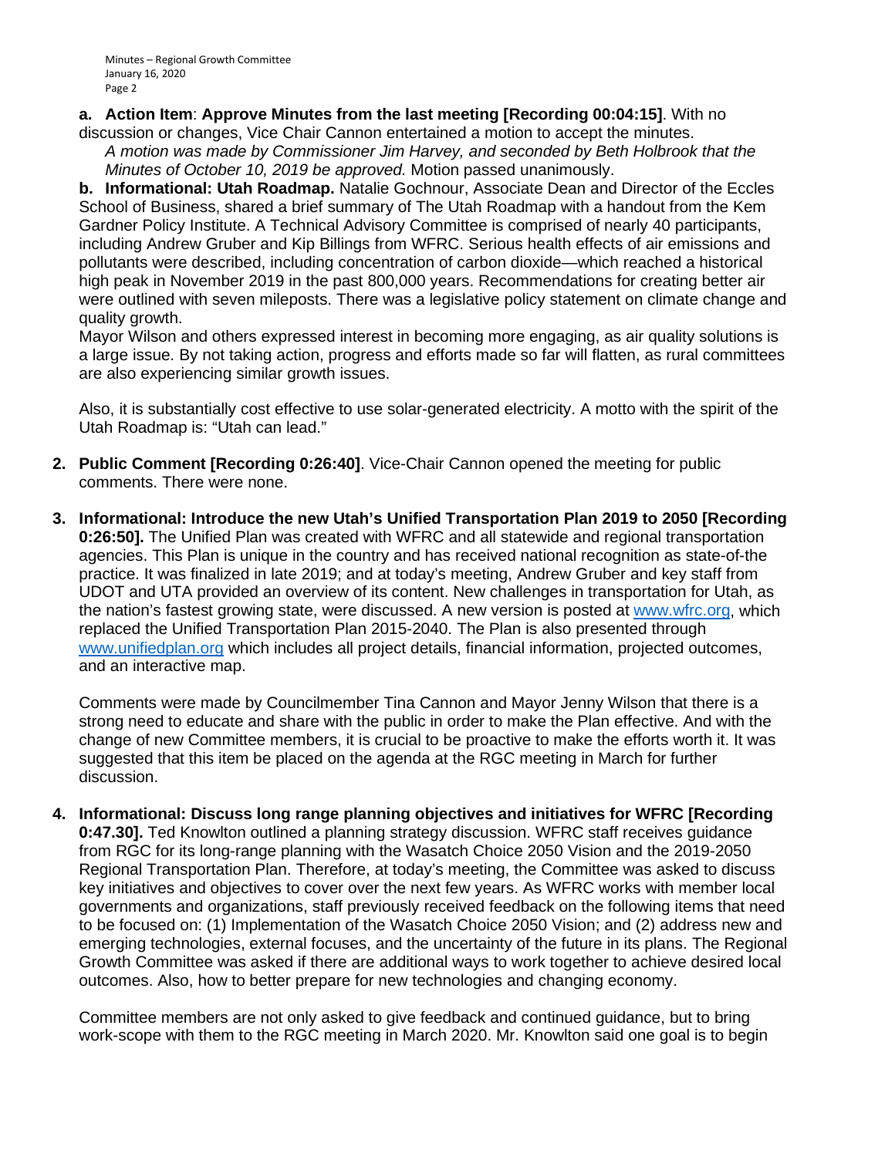Minutes – Regional Growth Committee January 16, 2020 Page 2

## **a. Action Item**: **Approve Minutes from the last meeting [Recording 00:04:15]**. With no

discussion or changes, Vice Chair Cannon entertained a motion to accept the minutes. *A motion was made by Commissioner Jim Harvey, and seconded by Beth Holbrook that the Minutes of October 10, 2019 be approved.* Motion passed unanimously.

**b. Informational: Utah Roadmap.** Natalie Gochnour, Associate Dean and Director of the Eccles School of Business, shared a brief summary of The Utah Roadmap with a handout from the Kem Gardner Policy Institute. A Technical Advisory Committee is comprised of nearly 40 participants, including Andrew Gruber and Kip Billings from WFRC. Serious health effects of air emissions and pollutants were described, including concentration of carbon dioxide—which reached a historical high peak in November 2019 in the past 800,000 years. Recommendations for creating better air were outlined with seven mileposts. There was a legislative policy statement on climate change and quality growth.

Mayor Wilson and others expressed interest in becoming more engaging, as air quality solutions is a large issue. By not taking action, progress and efforts made so far will flatten, as rural committees are also experiencing similar growth issues.

Also, it is substantially cost effective to use solar-generated electricity. A motto with the spirit of the Utah Roadmap is: "Utah can lead."

- **2. Public Comment [Recording 0:26:40]**. Vice-Chair Cannon opened the meeting for public comments. There were none.
- **3. Informational: Introduce the new Utah's Unified Transportation Plan 2019 to 2050 [Recording 0:26:50].** The Unified Plan was created with WFRC and all statewide and regional transportation agencies. This Plan is unique in the country and has received national recognition as state-of-the practice. It was finalized in late 2019; and at today's meeting, Andrew Gruber and key staff from UDOT and UTA provided an overview of its content. New challenges in transportation for Utah, as the nation's fastest growing state, were discussed. A new version is posted at [www.wfrc.org,](http://www.wfrc.org/) which replaced the Unified Transportation Plan 2015-2040. The Plan is also presented through [www.unifiedplan.org](http://www.unifiedplan.org/) which includes all project details, financial information, projected outcomes, and an interactive map.

Comments were made by Councilmember Tina Cannon and Mayor Jenny Wilson that there is a strong need to educate and share with the public in order to make the Plan effective. And with the change of new Committee members, it is crucial to be proactive to make the efforts worth it. It was suggested that this item be placed on the agenda at the RGC meeting in March for further discussion.

**4. Informational: Discuss long range planning objectives and initiatives for WFRC [Recording 0:47.30].** Ted Knowlton outlined a planning strategy discussion. WFRC staff receives guidance from RGC for its long-range planning with the Wasatch Choice 2050 Vision and the 2019-2050 Regional Transportation Plan. Therefore, at today's meeting, the Committee was asked to discuss key initiatives and objectives to cover over the next few years. As WFRC works with member local governments and organizations, staff previously received feedback on the following items that need to be focused on: (1) Implementation of the Wasatch Choice 2050 Vision; and (2) address new and emerging technologies, external focuses, and the uncertainty of the future in its plans. The Regional Growth Committee was asked if there are additional ways to work together to achieve desired local outcomes. Also, how to better prepare for new technologies and changing economy.

Committee members are not only asked to give feedback and continued guidance, but to bring work-scope with them to the RGC meeting in March 2020. Mr. Knowlton said one goal is to begin